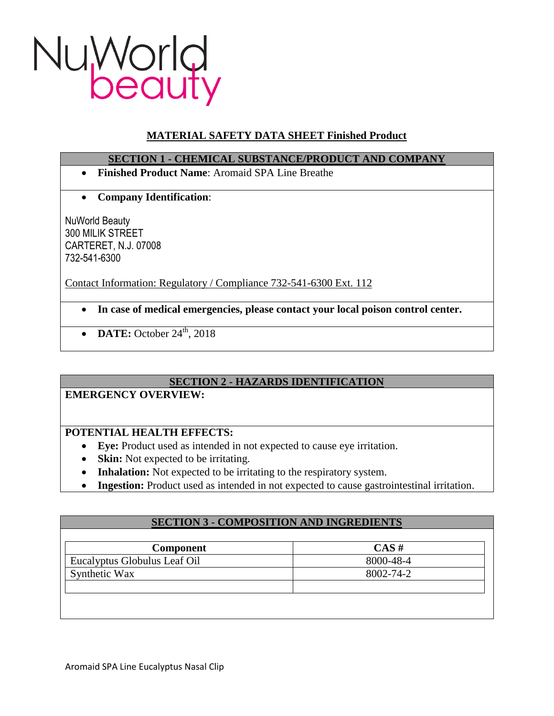

# **MATERIAL SAFETY DATA SHEET Finished Product**

### **SECTION 1 - CHEMICAL SUBSTANCE/PRODUCT AND COMPANY**

- **Finished Product Name**: Aromaid SPA Line Breathe
- **Company Identification**:

NuWorld Beauty 300 MILIK STREET CARTERET, N.J. 07008 732-541-6300

Contact Information: Regulatory / Compliance 732-541-6300 Ext. 112

- **In case of medical emergencies, please contact your local poison control center.**
- $\bullet$  **DATE:** October 24<sup>th</sup>, 2018

## **SECTION 2 - HAZARDS IDENTIFICATION**

## **EMERGENCY OVERVIEW:**

### **POTENTIAL HEALTH EFFECTS:**

- **Eye:** Product used as intended in not expected to cause eye irritation.
- **Skin:** Not expected to be irritating.
- **Inhalation:** Not expected to be irritating to the respiratory system.
- **Ingestion:** Product used as intended in not expected to cause gastrointestinal irritation.

### **SECTION 3 - COMPOSITION AND INGREDIENTS**

| <b>Component</b>             | $CAS \#$  |
|------------------------------|-----------|
| Eucalyptus Globulus Leaf Oil | 8000-48-4 |
| Synthetic Wax                | 8002-74-2 |
|                              |           |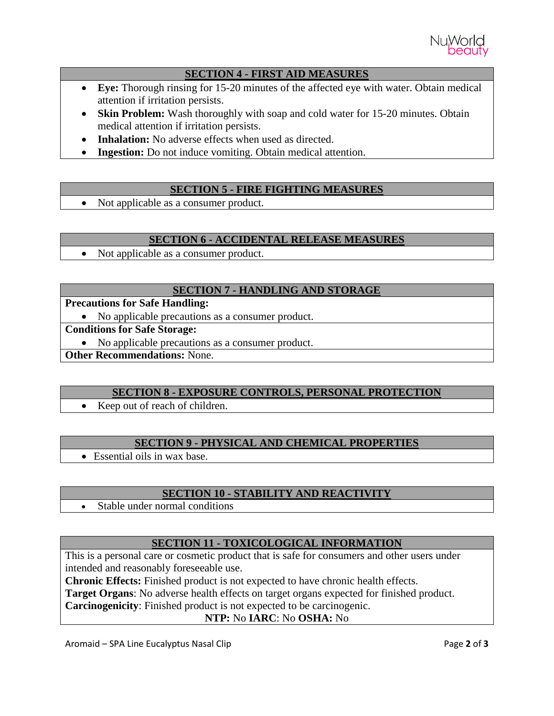

### **SECTION 4 - FIRST AID MEASURES**

- **Eye:** Thorough rinsing for 15-20 minutes of the affected eye with water. Obtain medical attention if irritation persists.
- Skin Problem: Wash thoroughly with soap and cold water for 15-20 minutes. Obtain medical attention if irritation persists.
- **Inhalation:** No adverse effects when used as directed.
- **Ingestion:** Do not induce vomiting. Obtain medical attention.

## **SECTION 5 - FIRE FIGHTING MEASURES**

• Not applicable as a consumer product.

### **SECTION 6 - ACCIDENTAL RELEASE MEASURES**

• Not applicable as a consumer product.

## **SECTION 7 - HANDLING AND STORAGE**

**Precautions for Safe Handling:**

No applicable precautions as a consumer product.

**Conditions for Safe Storage:**

• No applicable precautions as a consumer product.

**Other Recommendations:** None.

### **SECTION 8 - EXPOSURE CONTROLS, PERSONAL PROTECTION**

• Keep out of reach of children.

### **SECTION 9 - PHYSICAL AND CHEMICAL PROPERTIES**

Essential oils in wax base.

### **SECTION 10 - STABILITY AND REACTIVITY**

• Stable under normal conditions

### **SECTION 11 - TOXICOLOGICAL INFORMATION**

This is a personal care or cosmetic product that is safe for consumers and other users under intended and reasonably foreseeable use.

**Chronic Effects:** Finished product is not expected to have chronic health effects.

**Target Organs**: No adverse health effects on target organs expected for finished product.

**Carcinogenicity**: Finished product is not expected to be carcinogenic.

### **NTP:** No **IARC**: No **OSHA:** No

Aromaid – SPA Line Eucalyptus Nasal Clip **Page 2** of **3** and **Page 2** of **3**